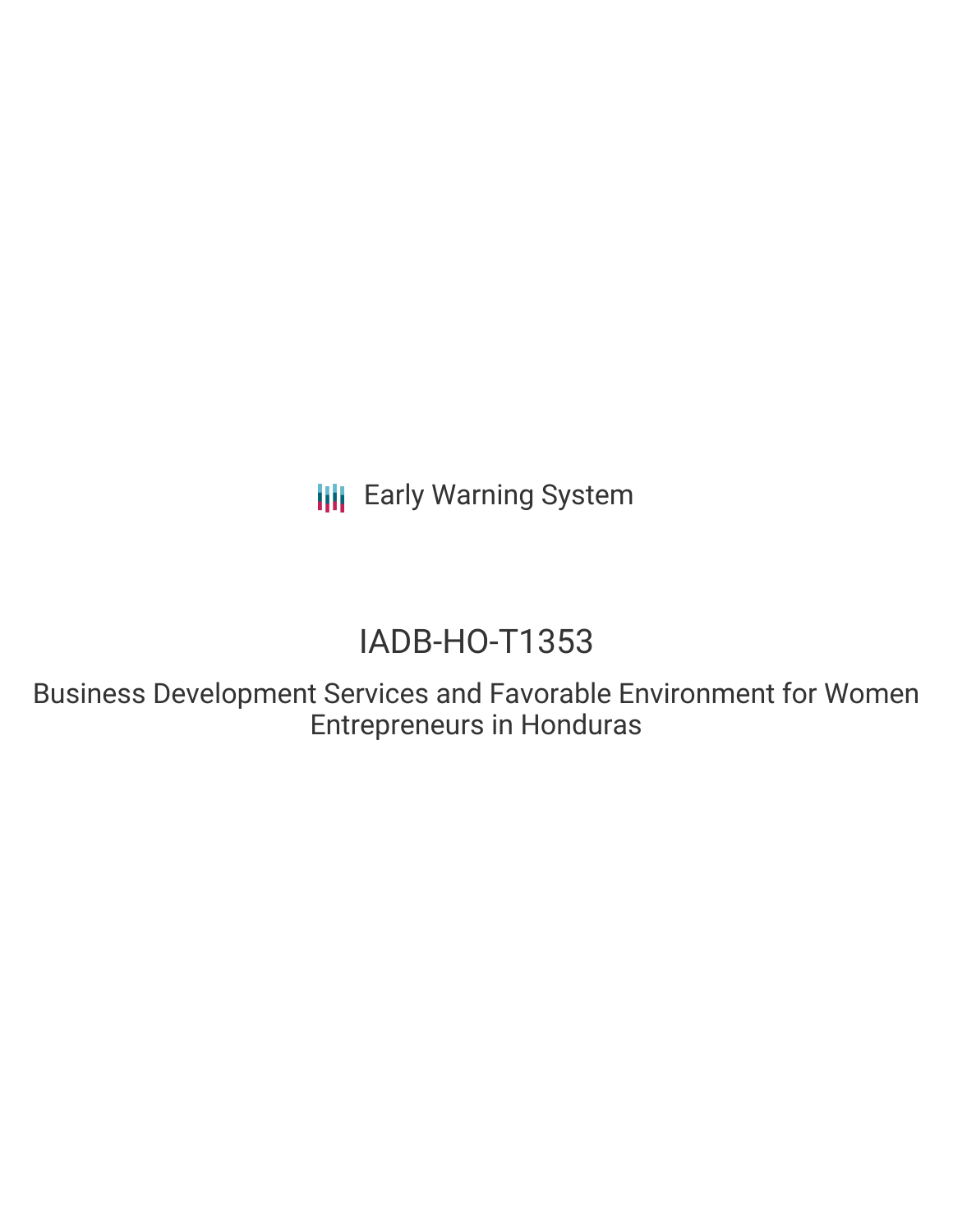**III** Early Warning System

# IADB-HO-T1353

Business Development Services and Favorable Environment for Women Entrepreneurs in Honduras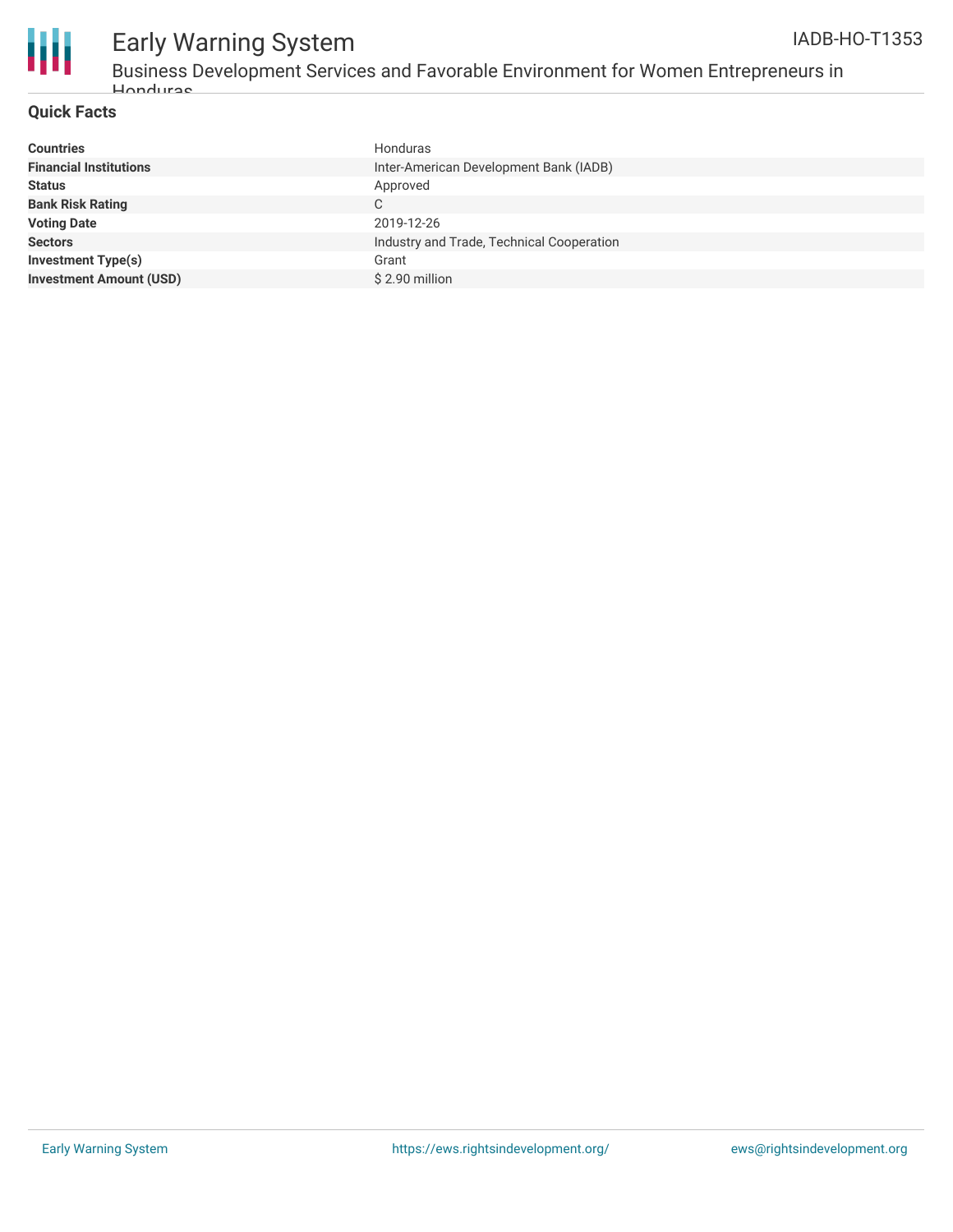



## Early Warning System

Business Development Services and Favorable Environment for Women Entrepreneurs in Honduras

#### **Quick Facts**

| <b>Honduras</b>                           |
|-------------------------------------------|
| Inter-American Development Bank (IADB)    |
| Approved                                  |
| C                                         |
| 2019-12-26                                |
| Industry and Trade, Technical Cooperation |
| Grant                                     |
| \$2.90 million                            |
|                                           |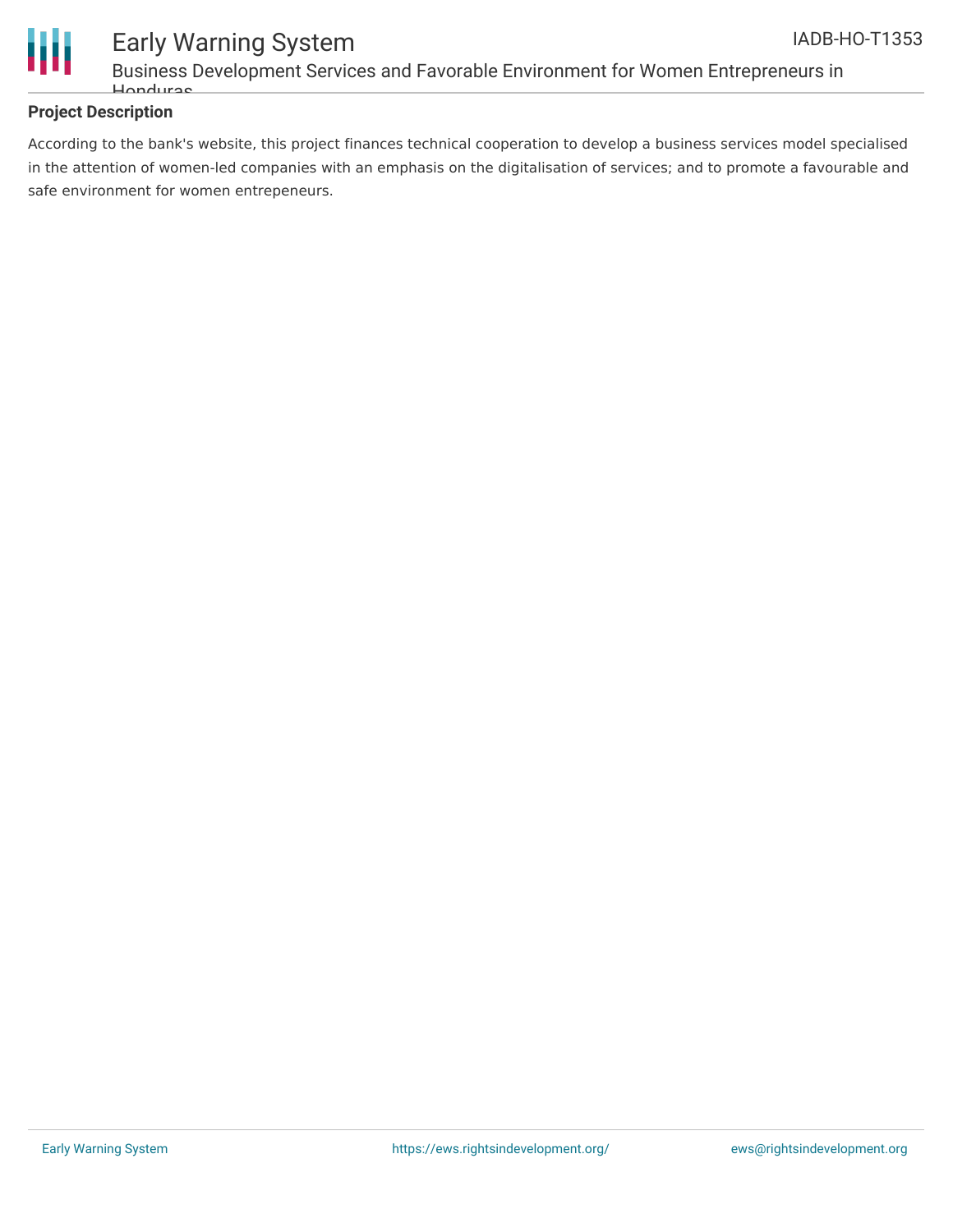

#### Early Warning System Business Development Services and Favorable Environment for Women Entrepreneurs in Honduras

#### **Project Description**

According to the bank's website, this project finances technical cooperation to develop a business services model specialised in the attention of women-led companies with an emphasis on the digitalisation of services; and to promote a favourable and safe environment for women entrepeneurs.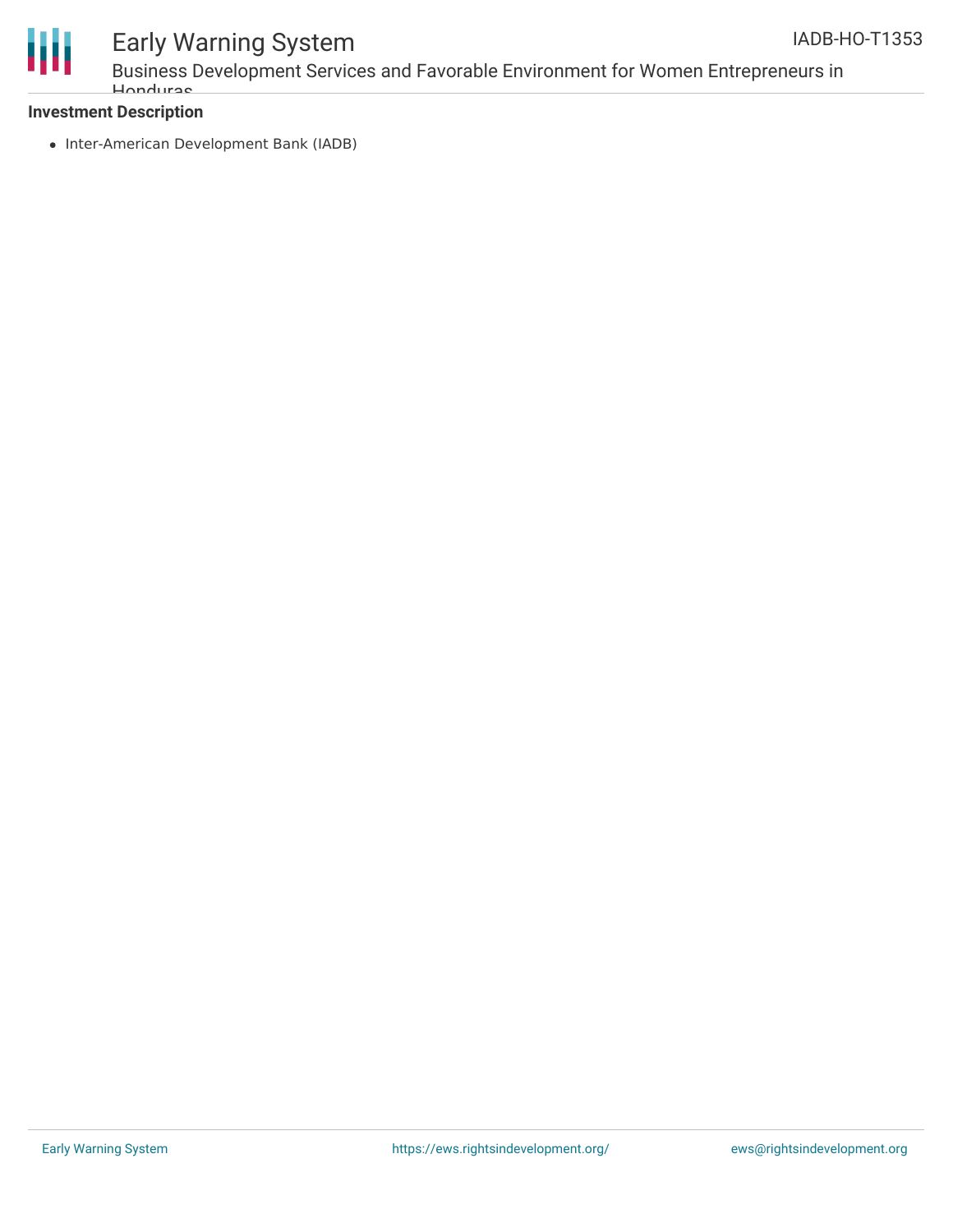



### Early Warning System

Business Development Services and Favorable Environment for Women Entrepreneurs in Honduras

#### **Investment Description**

• Inter-American Development Bank (IADB)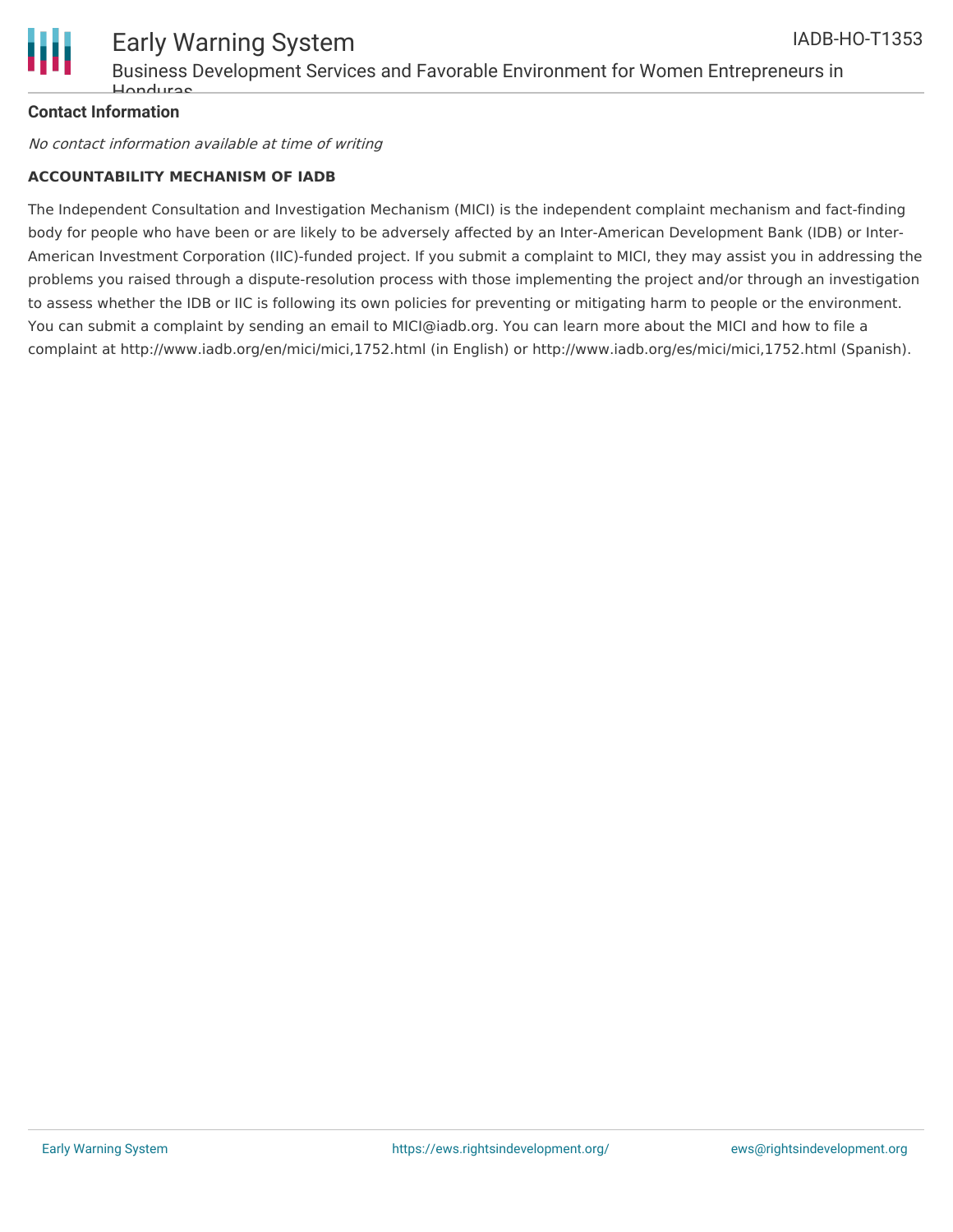

#### **Contact Information**

No contact information available at time of writing

#### **ACCOUNTABILITY MECHANISM OF IADB**

The Independent Consultation and Investigation Mechanism (MICI) is the independent complaint mechanism and fact-finding body for people who have been or are likely to be adversely affected by an Inter-American Development Bank (IDB) or Inter-American Investment Corporation (IIC)-funded project. If you submit a complaint to MICI, they may assist you in addressing the problems you raised through a dispute-resolution process with those implementing the project and/or through an investigation to assess whether the IDB or IIC is following its own policies for preventing or mitigating harm to people or the environment. You can submit a complaint by sending an email to MICI@iadb.org. You can learn more about the MICI and how to file a complaint at http://www.iadb.org/en/mici/mici,1752.html (in English) or http://www.iadb.org/es/mici/mici,1752.html (Spanish).